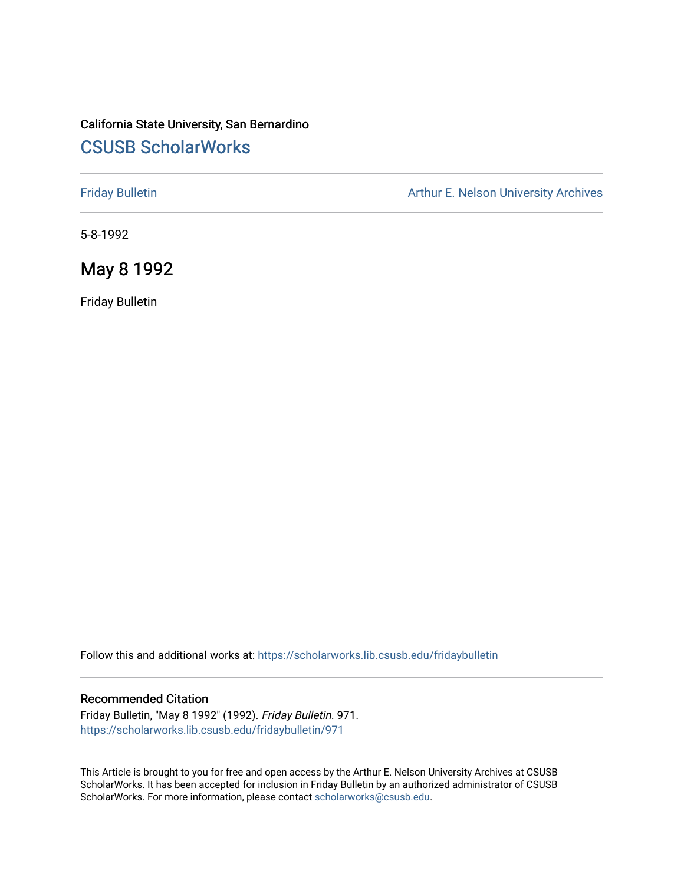# California State University, San Bernardino [CSUSB ScholarWorks](https://scholarworks.lib.csusb.edu/)

[Friday Bulletin](https://scholarworks.lib.csusb.edu/fridaybulletin) **Arthur E. Nelson University Archives** Arthur E. Nelson University Archives

5-8-1992

May 8 1992

Friday Bulletin

Follow this and additional works at: [https://scholarworks.lib.csusb.edu/fridaybulletin](https://scholarworks.lib.csusb.edu/fridaybulletin?utm_source=scholarworks.lib.csusb.edu%2Ffridaybulletin%2F971&utm_medium=PDF&utm_campaign=PDFCoverPages)

#### Recommended Citation

Friday Bulletin, "May 8 1992" (1992). Friday Bulletin. 971. [https://scholarworks.lib.csusb.edu/fridaybulletin/971](https://scholarworks.lib.csusb.edu/fridaybulletin/971?utm_source=scholarworks.lib.csusb.edu%2Ffridaybulletin%2F971&utm_medium=PDF&utm_campaign=PDFCoverPages)

This Article is brought to you for free and open access by the Arthur E. Nelson University Archives at CSUSB ScholarWorks. It has been accepted for inclusion in Friday Bulletin by an authorized administrator of CSUSB ScholarWorks. For more information, please contact [scholarworks@csusb.edu.](mailto:scholarworks@csusb.edu)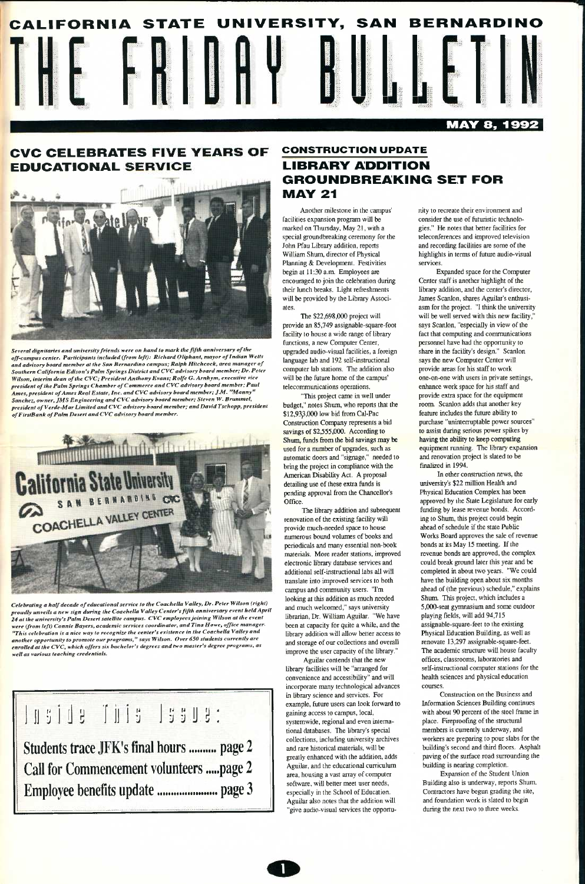

# **CVC CELEBRATES FIVE YEARS OF** EDUCATIONAL



*Several dignitaries and university friends were on hand to mark the fifth anniversary of the off-campus center. Participants included (from left): Richard Oliphant, mayor of Indian Wells and advisory board member at the San Bernardino campus; Ralph Hitchcock, area manager of Southern California Edison's Palm Springs District and CVC advisory board member; Dr. Peter Wilson, interim dean of the CVC; President Anthony Evans; Rolfe G. Arnhym, executive vice president of the Palm Springs Chamber of Commerce and CVC advisory board member; Paul Ames, president of Ames Real Estate, Inc. and CVC advisory board member; JM. "Manny" Sanchez, owner, JMS Engineering and CVC advisory board member; Steven W. Brummel, president of Verde-Mar Limited and CVC advisory board member; and David Tschopp, president ofFirstBank of Palm Desert and CVC advisory board member.* 



*Celebrating a half decade of educational service to the Coachella Valley, Dr. Peter Wilson (right) proudly unveils a new sign during the Coachella Valley Center's fifth anniversary event held April 24 at the university's Palm Desert satellite campus. CVC employees joining Wilson at the event were (from left) Connie Bayers, academic services coordinator, and Tina Howe, office manager. "This celebration is a nice way to recognize the center's existence in the Coachella Valley and another opportunity to promote our programs," says Wilson. Over 650 students currently are enrolled at the CVC, which offers six bachelor's degrees and two master's degree programs, as well as various teaching credentials.* 

**Ill 3 [1113 1 ij illy: Students trace JFK's final hours .......... page 2 Call for Commencement volunteers .....page 2 Emplo; fee bene! its update page 3** 

# **CONSTRUCTION UPDATE**  LIBRARY ADDITION GROUNDBREAKING SET FOR MAY 21

Another milestone in the campus' facilities expansion program will be marked on Tliursday, May 21, with a special groundbreaking ceremony for the John Pfau Library addition, reports William Shum, director of Physical Planning & Development. Festivities begin at 11:30 a.m. Employees are encouraged to join the celebration during their lunch breaks. Light refreshments will be provided by the Library Associates.

The \$22,698,000 project will provide an 85,749 assignable-square-foot facility to house a wide range of library functions, a new Computer Center, upgraded audio-visual facilities, a foreign language lab and 192 self-instructional computer lab stations. The addition also will be the future home of the campus' telecommunications operations.

"This project came in well under budget," notes Shum, who reports that the \$12,933,000 low bid from Cal-Pac Construction Company represents a bid savings of \$2,555,000. According to Shum, funds from the bid savings may be used for a number of upgrades, such as automatic doors and "signage," needed to bring the project in compliance with the American Disability Act. A proposal detailing use of these extra funds is pending approval from the Chancellor's Office.

The library addition and subsequent renovation of the existing facility will provide much-needed space to house numerous bound volumes of books and periodicals and many essential non-book materials. More reader stations, improved electronic library database services and additional self-instructional labs all will translate into improved services to both campus and community users. "I'm looking at this addition as much needed and much welcomed," says university librarian. Dr. William Aguilar. "We have been at capacity for quite a while, and the library addition will allow better access to and storage of our collections and overall improve the user capacity of the library."

Aguilar contends that the new

library facilities will be "arranged for convenience and accessibility" and will incorporate many technological advances in Ubraiy science and services. For example, future users can look forward to gaining access to campus, local, systemwide, regional and even international databases. The library's special collections, including university archives and rare historical materials, will be greatly enhanced with the addition, adds Aguilar, and the educational curriculum area, housing a vast array of computer software, will better meet user needs, especially in the School of Education. Aguilar also notes that the addition will "give audio-visual services the opportunity to recreate their environment and consider the use of futuristic technologies." He notes that better facilities for teleconferences and improved television and recording facilities are some of the highlights in terms of future audio-visual services.

Expanded space for the Computer Center staff is another highlight of the library addition, and the center's director, James Scanlon, shares Aguilar's enthusiasm for the project. "I think the university will be well served with this new facility," says Scanlon, "especially in view of the fact that computing and communications personnel have had the opportunity to share in the facility's design." Scanlon says the new Computer Center will provide areas for his staff to work one-on-one with users in private settings, enhance work space for his staff and provide extra space for the equipment room Scanlon adds that another key feature includes the future ability to purchase "unintemiptable power sources" to assist during serious power spikes by having the ability to keep computing equipment running. The library expansion and renovation project is slated to be finalized in 1994.

In other construction news, the university's \$22 million Health and Physical Education Complex has been approved by the State Legislature for early funding by lease revenue bonds. According to Shum, this project could begin ahead of schedule if the state Public Works Board approves the sale of revenue bonds at its May 15 meeting. If the revenue bonds are approved, the complex could break ground later this year and be completed in about two years. "We could have the building open about six months ahead of (the previous) schedule," explains Shum. This project, which includes a S.OOO-seat gymnasium and some outdoor playing fields, will add 94,715 assignable-square-feet to the existing Physical Education Building, as well as renovate 13,297 assignable-square-feet. The academic structure will house faculty offices, classrooms, laboratories and self-instructional computer stations for the health sciences and physical education courses. Constmciion on the Business and Information Sciences Building continues with about 90 percent of the steel frame in place. Fireproofing of the structural members is currently underway, and workers are preparing to pour slabs for the building's second and third floors. Asphalt paving of the surface road surrounding the building is nearing completion. Expansion of the Student Union Building also is underway, reports Shum Contractors have begun grading the site, and foundation work is slated to begin during the next two to three weeks.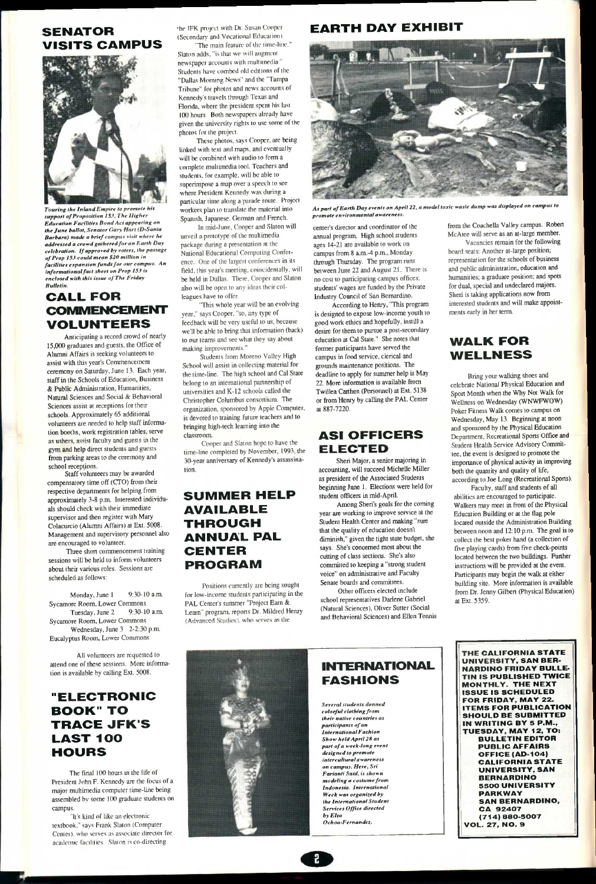# SENATOR VISITS CAMPUS



*Touring the Inland Empire to promote his support of Proposition I5.t, The Higher Education Facilities Bond Act appearing on the June ballot. Senator Gary Hart (D-Santa Barbara) made a brief campus visit where he addressed a crowd gathered for an Earth Day celebration. If approved by voters, the passage of Prop 153 could mean \$20 million in facilities expansion funds for our campus. An informational fact sheet on Prop 153 is enclosed with this issue of The Friday Bulletin.* 

# CALL FOR COMMENCEMENT VOLUNTEERS

Anticipating a record crowd of nearly 15,000 graduates and guests, the Office of Alumni Affairs is seeking volunteers to assist with this year's Commencement ceremony on Saturday, June 13. Each year, staff in the Schools of Education, Business & Public Administration, Humanities, Natural Sciences and Social & Behavioral Sciences assist at receptions for their schools. Approximately 65 additional volunteers are needed to help staff information booths, work registration tables, serve as ushers, assist faculty and guests in the gym and help direct students and guests from parking areas to the ceremony and school receptions.

Monday, June 1 9:30-10 a.m. Sycamore Room, Lower Commons Tuesday, June 2 9:30-10 a.m. Sycamore Room, Lower Commons Wednesday, June 3 2-2:30 p.m Eucalyptus Room, Lower Commons

The final 100 hours in the life of President John F. Kennedy are the focus of a major multimedia computer time-line being assembled by some 1(K) graduate students on campus.

"It's kind of like an electronic textbook." says Frank Slaton (Computer Center), who serves as associate director for academic facilities. Slaton is co-directing



•he JFK project with Dr. Susan Cooper (Secondary and Vocational Education)

Staff volunteers may be awarded compensatory time off (CTO) from their respective departments for helping from approximately 3-8 p.m. Interested individuals should check with their immediate supervisor and then register with Mary Colacurcio (Alumni Affairs) at Ext. 5008. Management and supervisory personnel also are encouraged to volunteer.

"The main feature of the time-line." Slaton adds, "is that we will augment newspaper accounts with multimedia." Students have combed old editions of the "Dallas Morning News" and the "Tampa Tribune" for photos and news accounts of Kennedy's travels through Texas and Florida, where the president spent his last 100 hours. Both newspapers already have given the university rights to use some of the photos for the project.

These photos, says Cooper, are being linked with text and maps, and eventually will be combined with audio to form a complete multimedia tool. Teachers and students, for example, will be able to superimpose a map over a speech to see where President Kennedy was during a particular time along a parade route. Project workers plan to translate the material into Spanish, Japanese, German and French.

Three short commencement training sessions will be held to inform volunteers about their various roles. Sessions are scheduled as follows;

All volunteers are requested to attend one of these sessions. More information is available by calling Ext. 5008.

# "ELECTRONIC **BOOK" TO** TRACE JFK'S LAST 100 HOURS

Positions currently are being sought for low-income students participating in the PAL Center's summer "Project Earn & Learn" program, reports Dr. Mildred Heruy **/ A/ivaiuv^ri who si'fvos** as the



As part of Earth Day events on April 22, a model toxic waste dump was displayed on campus to *promote environmental awareness.* 

# ASI OFFICERS **ELECTED**

Vacancies remain for the following board seats: Another at-large position; representation for the schools of business and public administration, education and humanities; a graduate position; and spots for dual, special and undeclared majors. Sheri is taking applications now from interested students and will make appointments early in her term.

In mid-June, Cooper and Slaton will unveil a prototype of the multimedia package during a presentation at the National Educational Computing Conference. One of the largest conferences in its field, this year's meeting, coincidentally. will be held in Dallas. There, Cooper and Slaton also will be open to any ideas their colleagues have to offer.

"This whole year will be an evolving year," says Cooper, "so, any type of feedback will be very useful to us, because we'll be able to bring that information (back) to our teams and see what they say about making improvements."

Students from Moreno Valley High School will assist in collecting material for the time-line. The high school and Cal State belong to an international partnership of universities and K-12 schools called the Christopher Columbus consortium. The organization, sponsored by Apple Computer, is devoted to training future teachers and to bringing high-tech leaming into the classroom

Cooper and Slaton hope to have the time-line completed by November, 1993, the 30-year anniversary of Kennedy's assassination.

# SUMMER HELP AVAILABLE THROUGH ANNUAL PAL **CENTER** PROGRAM

# EARTH DAY EXHIBIT

center's director and coordinator of the annual program. High school students ages 14-21 are available to work on campus from 8 a.m.-4 p.m., Monday through Thursday. The program runs between June 22 and August 21. There is no cost to participating campus offices; students' wages are funded by the Private Industry Council of San Bernardino.

According to Henry, "This program is designed to expose low-income youth to good work ethics and hopefully, instill a desire for them to pursue a post-secondary education at Cal State." She notes that former participants have served the campus in food service, clerical and grounds maintenance positions. The deadline to apply for summer help is May 22. More information is available from Twillea Carthen (Personnel) at Ext. 5138 or from Henry by calling the PAL Center at 887-7220.

Sheri Major, a senior majoring in accounting, will succeed Michelle Miller as president of the Associated Students beginning June 1. Elections were held for student officers in mid-April.

Among Sheri's goals for the coming year are working to improve service at the Student Health Center and making "sure that the quality of education doesn't diminish," given the tight state budget, she says. She's concerned most about the cutting of class sections. She's also committed to keeping a "strong student voice" on administrative and Faculty Senate boards and committees.

Other officers elected include school representatives Darlene Gabriel (Natural Sciences), Oliver Sutter (Social and Behavioral Sciences) and Ellen Tennis from the Coachella Valley campus. Robert McAtee will serve as an at-large member.

# WALK FOR WELLNESS

Bring your walking shoes and celebrate National Physical Education and Sport Month when the Why Not Walk for Wellness on Wednesday (WNWFWOW) Poker Fitness Walk comes to campus on Wednesday, May 13. Beginning at noon and sponsored by the Physical Education Department, Recreational Sports Office and Student Health Service Advisory Committee, the event is designed to promote the importance of physical activity in improving both the quantity and quality of life, according to Joe Long (Recreational Sports).

Faculty, staff and students of all abilities are encouraged to participate. Walkers may meet in front of the Physical Education Building or at the flag pole located outside the Administration Building between noon and 12:10 p.m. The goal is to collect the best poker hand (a collection of five playing cards) from five check-points located between the two buildings. Further instructions will be provided at the event. Participants may begin the walk at either building site. More information is available from Dr. Jenny Gilbert (Physical Education) at Ext. 5359.

# INTERNATIONAL FASHIONS

*Several students donned colorful clothing from their native countries as participants of an International Fashion Show held April 28 as part of a week-long event designed to promote intercultural awareness on campus. Here, Sri Farianti Said, is shown modeling a costume from Indonesia. International Week was organized by the International Student Services Office directed by Elsa Ochoa-Femandez-*

THE CALIFORNIA STATE UNIVERSITY, SAN BER-NARDINO FRIDAY BULLE-TIN IS PUBLISHED TWICE MONTHLY. THE NEXT ISSUE IS SCHEDULED FOR FRIDAY, MAY 22. ITEMS FOR PUBLICATION SHOULD BE SUBMITTED IN WRITING BY 5 P.M., TUESDAY, MAY 12, TO: BULLETIN EDITOR PUBLIC AFFAIRS OFFICE (AD-104) CALIFORNIA STATE UNIVERSITY, SAN BERNARDINO 5500 UNIVERSITY PARKWAY SAN BERNARDINO, CA 92407 <714) 880-5007 VOL. 27, NO. 9

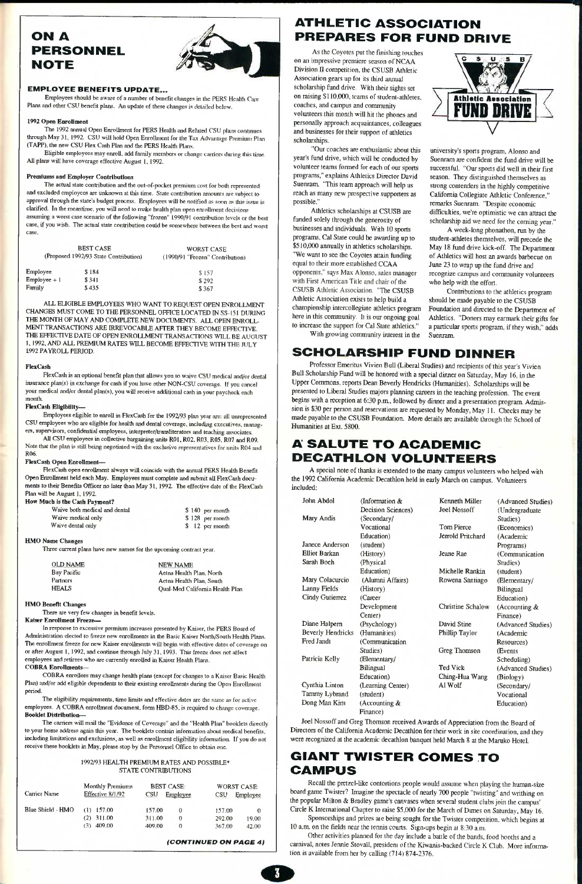# ON A PERSONNEL NOTE



**Employees should be aware of a number of benefit changes in the PERS Healtli Caie**  Plans and other CSU benefit plans. An update of these changes is detailed below.

## EMPLOYEE BENEFITS UPDATE...

**The 1992 annual Open Enrollment for PERS Health and Related CSU plans continues**  through May 31, 1992. CSU will hold Open Enrollment for the Tax Advantage Premium Plan (TAPP), the new CSU Flex Cash Plan and the PERS Health Plans.

Eligible employees may enroll, add family members or change carriers during this time. All plans will have coverage effective August 1, 1992.

#### **1992 Open Eorollmeat**

**Premiums and Employer Contributions**<br>The actual state contribution and the out-of-pocket premium cost for both represented and excluded employees are unknown at this time. State contribution amounts are subject to **approval through the state's budget process. Employees will be notified as soon as tliis issue is clarified. In the meantime, you will need to make health plan open enrollment decisions assuming a worst case scenario of the following "frozen" 1990/91 contribution levels or the best case, if you wish. The actual state contribution could be somewhere between the best and worst case.** 

| <b>BEST CASE</b><br>(Proposed 1992/93 State Contribution) |       | <b>WORST CASE</b><br>(1990/91 "Frozen" Contribution) |  |  |
|-----------------------------------------------------------|-------|------------------------------------------------------|--|--|
| Employee                                                  | \$184 | \$157                                                |  |  |
| $Employee + 1$                                            | \$341 | \$292                                                |  |  |
| Family                                                    | \$435 | \$367                                                |  |  |

ALL ELIGIBLE EMPLOYEES WHO WANT TO REQUEST OPEN ENROLLMENT CHANGES MUST COME TO THE PERSONNEL OFFICE LOCATED IN SS-151 DURING THE MONTH OF MAY AND COMPLETE NEW DOCUMENTS. ALL OPEN ENROLLMENT TRANSACTIONS ARE IRREVOCABLE AF THE EFFECTIVE DATE OF OPEN ENROLLMENT TRANSACTIONS WILL BE AUGUST 1, 1992, AND ALL PREMIUM RATES WILL BECOME EFFECTIVE WITH THE JULY 1992 PAYROLL PERIOD.

#### **FlexCasb**

**FlexCash is an optional benefit plan that allows you to waive CSU medical and/or dental insurance plan(s) in exchange for cash if you have other NON-CSU coverage. If you cancel your medical and/or dental plan(s), you will receive additional cash in your paycheck each month.** 

**FlexCash Eligibility—**<br>Employees eligible to enroll in FlexCash for the 1992/93 plan year are: all unrepresented CSU employees who are eligible for health and dental coverage, including executives, manag-<br>ers, supervisors, confidential employees, interpreter/transliterators and teaching associates.

All CSU employees in collective bargaining units R01, R02, R03, R05, R07 and R09.<br>Note that the plan is still being negotiated with the exclusive representatives for units R04 and R06.

#### **FlexCasb Open Enroliment^**

FlexCash open enrollment always will coincide with the annual PERS Health Benefit<br>Open Enrollment held each May. Employees must complete and submit all FlexCash documents to their Benefits Officer no later than May 31, 1992. The effective date of the FlexCash Plan will be August 1, 1992.

#### **How Mucb is tbe Cash Payment?**

| Waive both medical and dental | $$140$ per month |
|-------------------------------|------------------|
| Waive medical only            | \$128 per month  |
| Waive dental only             | $$12$ per month  |

#### **HMO Name Changes**

**Three current plans have new names for the upcoming contract year.** 

| OLD NAME     | <b>NEW NAME</b>                 |
|--------------|---------------------------------|
| Bay Pacific  | Aetna Health Plan, North        |
| Partners     | Aetna Health Plan, South        |
| <b>HEALS</b> | Oual-Med California Health Plan |
|              |                                 |

#### **HMO Benefit Changes**

**There are very few changes in benefit levels.** 

## **Kaiser Enrollment Freeze^**

In response to excessive premium increases presented by Kaiser, the PERS Board of<br>Administration elected to freeze new enrollments in the Basic Kaiser North/South Health Plans.<br>The enrollment freeze for new Kaiser enrollme **or after August 1,1992. and continue through July 31.1993. This freeze does not alfect employees and retirees who are currently enrolled in Kaiser Health Plans** 

**COBRA Enrollments—** 

COBRA enrollees may change health plans (except for changes to a Kaiser Basic Health<br>Plan) and/or add eligible dependents to their existing enrollments during the Open Enrollment<br>period.<br>The eligibility requirements, time

**employees. A COBRA enrollment document, form HBD-85. is required to change coverage. Booklet Distribution—** 

The carriers will mail the "Evidence of Coverage" and the "Health Plan" booklets directly to your home address again this year. The booklets contain information about medical benefits, including limitations and exclusions, as well as enrollment eligibility information. If you do not receive these booklets in May, please stop by the Personnel Office to obtain one.

# **1992/93 HEALTH PREMIUM RATES AND POSSIBLE\* STATE CONTRIBUTIONS**

| Carrier Name      | Monthly Premiums<br>Effective 8/1/92 | <b>BEST CASE:</b><br>CSU<br>Employee | <b>WORST CASE:</b><br>CSU<br>Employee |
|-------------------|--------------------------------------|--------------------------------------|---------------------------------------|
| Blue Shield - HMO | $(1)$ 157.00                         | 157.00<br>0                          | 157.00<br>0                           |
|                   | 311.00<br>(2)                        | 311.00<br>$\theta$                   | 292.00<br>19.00                       |
|                   | 409.00<br>(3)                        | 409.00<br>$\Omega$                   | 367.00<br>42.00                       |
|                   |                                      |                                      | (CONTINUED ON PAGE 4)                 |

# ATHLETIC ASSOCIATION PREPARES FOR FUND DRIVE

As the Coyotes put the finishing touches on an impressive premiere season of NCAA Division II competition, the CSUSB Athletic Association gears up for its third annual scholarship fund drive. With their sights set on raising \$110,000, teams of student-athletes, coaches, and campus and community volunteers this month will hit the phones and personally approach acquaintances, colleagues and businesses for their suppon of athletics scholarships.

"Our coaches are enthusiastic about this year's fund drive, which will be conducted by volunteer teams formed for each of our sports programs," explains Athletics Director David Suenram "This team approach will help us reach as many new prospective supporters as possible."

Athletics scholarships at CSUSB are funded solely through the generosity of businesses and individuals. With 10 sports programs, Cal State could be awarding up to \$510,000 annually in athletics scholarships. "We want to see the Coyotes attain funding equal to their more established CCAA opponents," says Max Alonso, sales manager with First American Title and chair of the CSUSB Athletic Association. "The CSUSB Athletic Association exists to help build a championship intercollegiate athletics program here in this community. It is our ongoing goal to increase the support for Cal State athletics." With growing community interest in the



university's sports program, Alonso and Suenram are confident the fund drive will be successful. "Our sports did well in their first season. They distinguished themselves as strong contenders in the highly competitive Califomia Collegiate Athletic Conference," remarks Suenram "Despite economic difficulties, we're optimistic we can attract the scholarship aid we need for the coming year."

A week-long phonathon, run by the student-athletes themselves, will precede the May 18 fund drive kick-off. The Department of Athletics will host an awards barbecue on June 23 to wrap up the fund drive and recognize campus and community volunteers who help with the effort.

Contributions to the athletics program should be made payable to the CSUSB Foundation and directed to the Department of Athletics. "Donors may earmark their gifts for a particular sports program, if they wish," adds Suenram

# SCHOLARSHIP FUND DINNER

Professor Emeritus Vivien Bull (Liberal Studies) and recipients of this year's Vivien Bull Scholarship Fund will be honored with a special dinner on Saturday, May 16, in the Upper Commons, reports Dean Beverly Hendricks (Humanities). Scholarships will be presented to Liberal Studies majors planning careers in the teaching profession. The event begins with a reception at 6:30 p.m, followed by dinner and a presentation program Admission is \$30 per person and reservations are requested by Monday, May 11. Checks may be made payable to the CSUSB Foundation. More details are available through the School of Humanities at Ext. 5800.

# A SALUTE TO ACADEMIC DECATHLON VOLUNTEERS

A special note of thanks is extended to the many campus volunteers who helped with the 1992 California Academic Decathlon held in early March on campus. Volunteers included:

| John Abdol               | (Information &     | Kenneth Miller      | (Advanced Studies) |
|--------------------------|--------------------|---------------------|--------------------|
|                          | Decision Sciences) | <b>Joel Nossoff</b> | (Undergraduate     |
| Mary Andis               | (Secondary/        |                     | Studies)           |
|                          | Vocational         | Tom Pierce          | (Economics)        |
|                          | Education)         | Jerrold Pritchard   | (Academic          |
| Janece Anderson          | (student)          |                     | Programs)          |
| <b>Elliot Barkan</b>     | (History)          | Jeane Rae           | (Communication     |
| Sarah Boeh               | (Physical          |                     | Studies)           |
|                          | Education)         | Michelle Rankin     | (student)          |
| Mary Colacurcio          | (Alumni Affairs)   | Rowena Santiago     | (Elementary/       |
| Lanny Fields             | (History)          |                     | Bilingual          |
| Cindy Gutierrez          | (Career            |                     | Education)         |
|                          | Development        | Christine Schalow   | (Accounting $\&$   |
|                          | Center)            |                     | Finance)           |
| Diane Halpern            | (Psychology)       | David Stine         | (Advanced Studies) |
| <b>Beverly Hendricks</b> | (Humanities)       | Phillip Taylor      | (Academic          |
| Fred Jandt               | (Communication)    |                     | Resources)         |
|                          | Studies)           | Greg Thomson        | <b>(Events</b>     |
| Patricia Kelly           | (Elementary/       |                     | Scheduling)        |

|                | <b>Bilingual</b>             | <b>Ted Vick</b> | (Advanced S |
|----------------|------------------------------|-----------------|-------------|
|                | Education)                   | Ching-Hua Wang  | (Biology)   |
| Cynthia Linton | (Learning Center)            | Al Wolf         | (Secondary/ |
| Tammy Lybrand  | (student)                    |                 | Vocational  |
| Dong Man Kim   | (Accounting $\&$<br>Finance) |                 | Education)  |

Ted Vick (Advanced Studies) Ching-Hua Wang (Biology)

Education)

Joel Nossoff and Greg Thomson received Awards of Appreciation from the Board of Directors of the Califomia Academic Decathlon for their work in site coordination, and they were recognized at the academic decathlon banquet held March 8 at the Maruko Hotel.

# GIANT TWISTER COMES TO CAMPUS

Recall the pretzel-like contortions people would assume when playing the human-size board game Twister? Imagine the spectacle of nearly 700 people "twisting" and writliing on the popular Milton & Bradley game's canvases when several student clubs join the campus' Circle K International Chapter to raise \$5,000 for the March of Dimes on Saturday, May 16.

Sponsorships and prizes aie being sought for the Twister competition, which begins at 10 a.m. on the fields near the tennis courts. Sign-ups begin at 8:30 a.m.

Other activities planned for the day include a battle of the bands, food booths and a carnival, notes Jennie Stovail, president of the Kiwanis-backed Circle K Club. More mformation is available from her by calling (714) 874-2376.